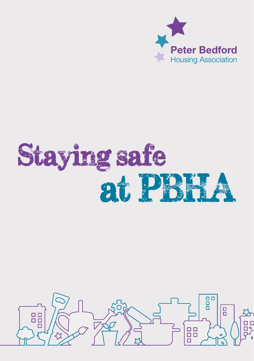

# at PBHA Staying safe

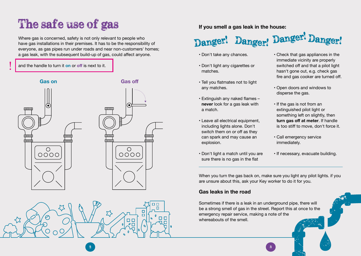## The safe use of gas

Where gas is concerned, safety is not only relevant to people who have gas installations in their premises. It has to be the responsibility of everyone, as gas pipes run under roads and near non-customers' homes; a gas leak, with the subsequent build-up of gas, could affect anyone.

#### and the handle to turn it **on** or **off** is next to it.

 $\prec$ 



### **If you smell a gas leak in the house:**

### Danger! Danger! Danger! Danger!

- Don't take any chances.
- Don't light any cigarettes or matches.
- Tell you flatmates not to light any matches.
- Extinguish any naked flames **never** look for a gas leak with a match.
- Leave all electrical equipment, including lights alone. Don't switch them on or off as they can spark and may cause an explosion.
- Don't light a match until you are sure there is no gas in the flat
- Check that gas appliances in the immediate vicinity are properly switched off and that a pilot light hasn't gone out, e.g. check gas fire and gas cooker are turned off.
- Open doors and windows to disperse the gas.
- If the gas is not from an extinguished pilot light or something left on slightly, then **turn gas off at meter**. If handle is too stiff to move, don't force it.
- Call emergency service immediately.
- If necessary, evacuate building.

When you turn the gas back on, make sure you light any pilot lights, if you are unsure about this, ask your Key worker to do it for you.

#### **Gas leaks in the road**

2 ) and the contract of the contract of the contract of the contract of the contract of  $\mathbf{3}$ 

п ō

 $\begin{array}{c} 0 \\ 0 \\ 0 \end{array}$ 

 $\Box$ 

Sometimes if there is a leak in an underground pipe, there will be a strong smell of gas in the street. Report this at once to the emergency repair service, making a note of the whereabouts of the smell.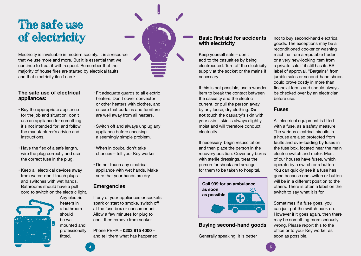### The safe use of electricity

Electricity is invaluable in modern society. It is a resource that we use more and more. But it is essential that we continue to treat it with respect. Remember that the majority of house fires are started by electrical faults and that electricity itself can kill.

#### **The safe use of electrical appliances:**

- Buy the appropriate appliance for the job and situation; don't use an appliance for something it's not intended for; and follow the manufacturer's advice and instructions.
- Have the flex of a safe length, wire the plug correctly and use the correct fuse in the plug.
- Keep all electrical devices away from water; don't touch plugs and switches with wet hands. Bathrooms should have a pull cord to switch on the electric light.

Any electric heaters in a bathroom should be wall mounted and professionally fitted.

- Fit adequate guards to all electric heaters. Don't cover convector or other heaters with clothes, and ensure that curtains and furniture are well away from all heaters.
- Switch off and always unplug any appliance before checking a seemingly simple problem.
- When in doubt, don't take chances – tell your Key worker.
- Do not touch any electrical appliance with wet hands. Make sure that your hands are dry.

#### **Emergencies**

If any of your appliances or sockets spark or start to smoke, switch off at the fuse box or consumer unit. Allow a few minutes for plug to cool, then remove from socket.

Phone PBHA – **0203 815 4000** – and tell them what has happened.

#### **Basic first aid for accidents with electricity**

Keep yourself safe – don't add to the casualties by being electrocuted. Turn off the electricity supply at the socket or the mains if necessary.

If this is not possible, use a wooden item to break the contact between the casualty and the electric current, or pull the person away by any loose, dry clothing. **Do not** touch the casualty's skin with your skin – skin is always slightly moist and will therefore conduct electricity.

If necessary, begin resuscitation, and then place the person in the recovery position. Cover any burns with sterile dressings, treat the person for shock and arrange for them to be taken to hospital.



#### **Buying second-hand goods**

Generally speaking, it is better

 $\overline{4}$   $\overline{5}$   $\overline{5}$   $\overline{5}$   $\overline{5}$   $\overline{5}$   $\overline{5}$   $\overline{5}$   $\overline{5}$   $\overline{5}$   $\overline{5}$   $\overline{5}$   $\overline{5}$   $\overline{5}$   $\overline{5}$   $\overline{5}$   $\overline{5}$   $\overline{5}$   $\overline{5}$   $\overline{5}$   $\overline{5}$   $\overline{5}$   $\overline{5}$   $\overline{5}$   $\overline{$ 

not to buy second-hand electrical goods. The exceptions may be a reconditioned cooker or washing machine from a reputable trader or a very new-looking item from a private sale if it still has its BS label of approval. "Bargains" from jumble sales or second-hand shops could prove costly in more than financial terms and should always be checked over by an electrician before use.

#### **Fuses**

All electrical equipment is fitted with a fuse, as a safety measure. The various electrical circuits in a house are also protected from faults and over-loading by fuses in the fuse box, located near the main electric switch and meter. Most of our houses have fuses, which operate by a switch or a button. You can quickly see if a fuse has gone because one switch or button will be in a different position to the others. There is often a label on the switch to say what it is for.

Sometimes if a fuse goes, you can just put the switch back on. However if it goes again, then there may be something more seriously wrong. Please report this to the office or to your Key worker as soon as possible.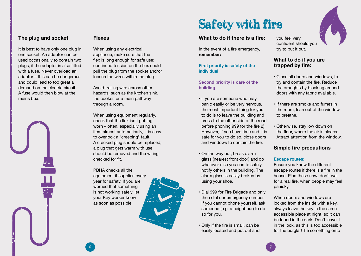#### **The plug and socket**

It is best to have only one plug in one socket. An adaptor can be used occasionally to contain two plugs, if the adaptor is also fitted with a fuse. Never overload an adaptor – this can be dangerous and could lead to too great a demand on the electric circuit. A fuse would then blow at the mains box.

#### **Flexes**

When using any electrical appliance, make sure that the flex is long enough for safe use; continued tension on the flex could pull the plug from the socket and/or loosen the wires within the plug.

Avoid trailing wire across other hazards, such as the kitchen sink, the cooker, or a main pathway through a room.

When using equipment regularly, check that the flex isn't getting worn – often, especially using an item almost automatically, it is easy to overlook a "creeping" fault. A cracked plug should be replaced; a plug that gets warm with use should be removed and the wiring checked for fit.

PBHA checks all the equipment it supplies every year for safety. If you are worried that something is not working safely, let your Key worker know as soon as possible.



#### **What to do if there is a fire:**

In the event of a fire emergency, **remember:**

#### **First priority is safety of the individual**

**Second priority is care of the building**

- if you are someone who may panic easily or be very nervous, the most important thing for you to do is to leave the building and cross to the other side of the road before phoning 999 for the fire 2) However, if you have time and it is safe for you to do so, close doors and windows to contain the fire.
- On the way out, break alarm glass (nearest front door) and do whatever else you can to safely notify others in the building. The alarm glass is easily broken by using your shoe.
- Dial 999 for Fire Brigade and only then dial our emergency number. If you cannot phone yourself, ask someone (e.g. a neighbour) to do so for you.
- Only if the fire is small, can be easily located and put out and

you feel very confident should you try to put it out.

#### **What to do if you are trapped by fire:**

- Close all doors and windows, to try and contain the fire. Reduce the draughts by blocking around doors with any fabric available.
- If there are smoke and fumes in the room, lean out of the window to breathe.
- Otherwise, stay low down on the floor, where the air is clearer. Attract attention from the window.

#### **Simple fire precautions**

#### **Escape routes:**

Ensure you know the different escape routes if there is a fire in the house. Plan these now; don't wait for a real fire, when people may feel panicky.

When doors and windows are locked from the inside with a key, always leave the key in the same accessible place at night, so it can be found in the dark. Don't leave it in the lock, as this is too accessible for the burglar! Tie something onto

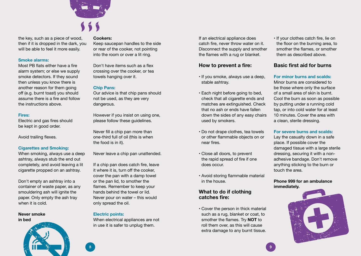

the key, such as a piece of wood, then if it is dropped in the dark, you will be able to feel it more easily.

#### **Smoke alarms:**

Most PB flats either have a fire alarm system; or else we supply smoke detectors. If they sound then unless you know there is another reason for them going off (e.g. burnt toast) you should assume there is a fire and follow the instructions above.

#### **Fires:**

Electric and gas fires should be kept in good order.

Avoid trailing flexes.

#### **Cigarettes and Smoking:**

When smoking, always use a deep ashtray, always stub the end out completely, and avoid leaving a lit cigarette propped on an ashtray.

Don't empty an ashtray into a container of waste paper, as any smouldering ash will ignite the paper. Only empty the ash tray when it is cold.

#### **Never smoke in bed**



#### **Cookers:**

Keep saucepan handles to the side or rear of the cooker, not pointing into the room or over a lit ring.

Don't have items such as a flex crossing over the cooker, or tea towels hanging over it.

#### **Chip Pans:**

Our advice is that chip pans should not be used, as they are very dangerous.

However if you insist on using one, please follow these guidelines.

Never fill a chip pan more than one-third full of oil (this is when the food is in it).

Never leave a chip pan unattended.

If a chip pan does catch fire, leave it where it is, turn off the cooker, cover the pan with a damp towel or the pan lid, to smother the flames. Remember to keep your hands behind the towel or lid. Never pour on water – this would only spread the oil.

#### **Electric points:**

When electrical appliances are not in use it is safer to unplug them.

If an electrical appliance does catch fire, never throw water on it. Disconnect the supply and smother the flames with a rug or blanket.

#### **How to prevent a fire:**

- If you smoke, always use a deep, stable ashtray.
- Each night before going to bed, check that all cigarette ends and matches are extinguished. Check that no ash or ends have fallen down the sides of any easy chairs used by smokers.
- Do not drape clothes, tea towels or other flammable objects on or near fires.
- Close all doors, to prevent the rapid spread of fire if one does occur.
- Avoid storing flammable material in the house.

#### **What to do if clothing catches fire:**

**•** Cover the person in thick material such as a rug, blanket or coat, to smother the flames. Try **NOT** to roll them over, as this will cause extra damage to any burnt tissue. **•** If your clothes catch fire, lie on the floor on the burning area, to smother the flames, or smother them as described above.

#### **Basic first aid for burns**

#### **For minor burns and scalds:**

Minor burns are considered to be those where only the surface of a small area of skin is burnt. Cool the burn as soon as possible by putting under a running cold tap, or into cold water for at least 10 minutes. Cover the area with a clean, sterile dressing.

#### **For severe burns and scalds:**

Lay the casualty down in a safe place. If possible cover the damaged tissue with a large sterile dressing, securing it with a nonadhesive bandage. Don't remove anything sticking to the burn or touch the area.

#### **Phone 999 for an ambulance immediately.**

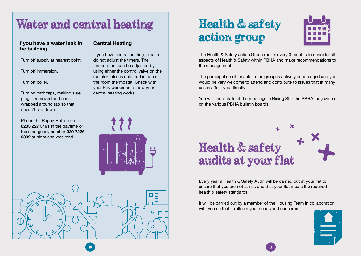### Water and central heating

#### **If you have a water leak in the building**

- Turn off supply at nearest point.
- Turn off immersion.
- Turn off boiler.
- Turn on bath taps, making sure plug is removed and chain wrapped around tap so that doesn't slip down.
- Phone the Repair Hotline on **0203 227 3161** in the daytime or the emergency number **020 7226 0302** at night and weekend.

#### **Central Heating**

If you have central heating, please do not adjust the timers. The temperature can be adjusted by using either the control valve on the radiator (blue is cold; red is hot) or the room thermostat. Check with your Key worker as to how your central heating works.





## Health & safety action group



The Health & Safety action Group meets every 3 months to consider all aspects of Health & Safety within PBHA and make recommendations to the management.

The participation of tenants in the group is actively encouraged and you would be very welcome to attend and contribute to issues that in many cases affect you directly.

You will find details of the meetings in Rising Star the PBHA magazine or on the various PBHA bulletin boards.

# **Health & safety** audits at your flat

Every year a Health & Safety Audit will be carried out at your flat to ensure that you are not at risk and that your flat meets the required health & safety standards.

It will be carried out by a member of the Housing Team in collaboration with you so that it reflects your needs and concerns.